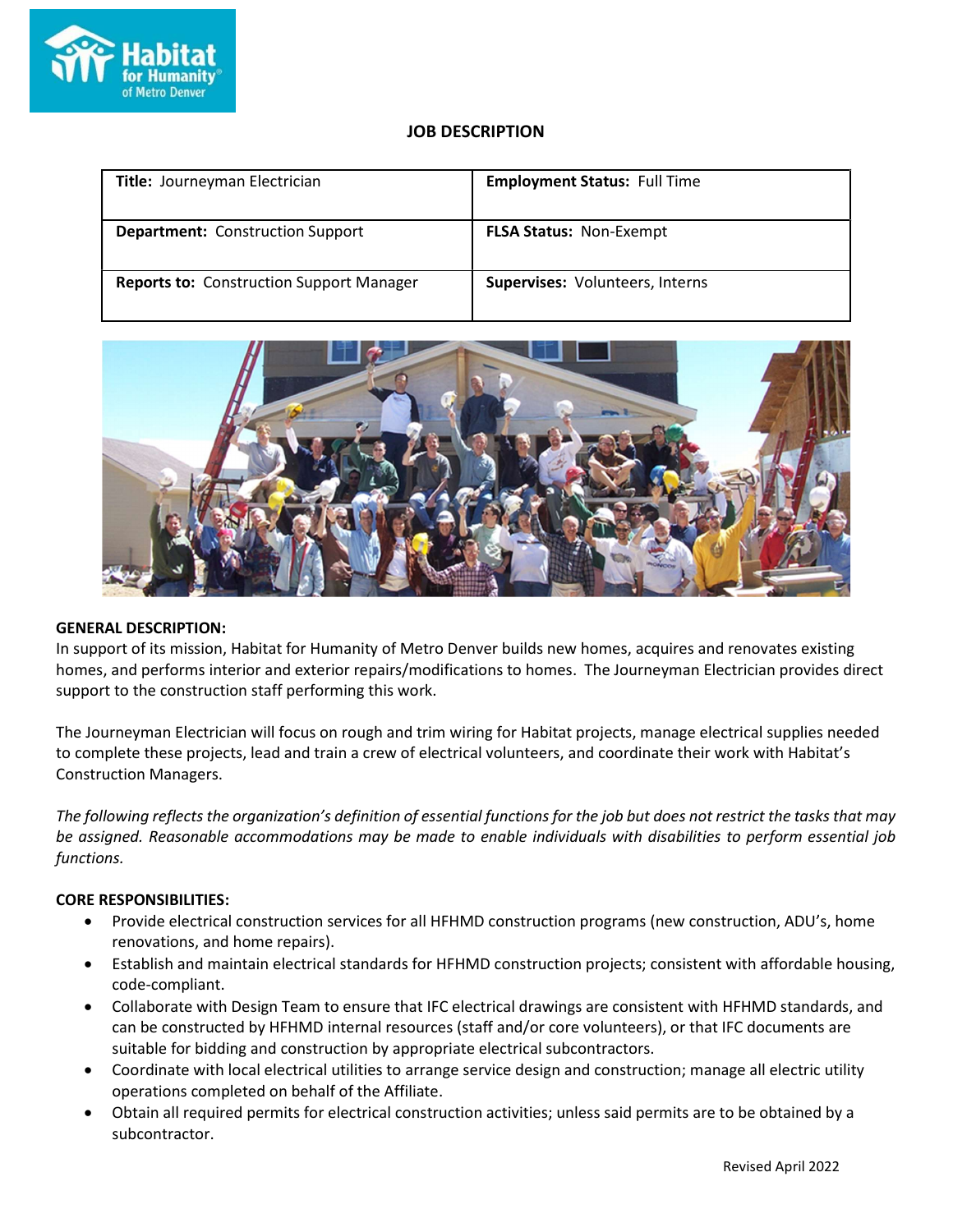

# JOB DESCRIPTION

| Title: Journeyman Electrician                   | <b>Employment Status: Full Time</b> |
|-------------------------------------------------|-------------------------------------|
| <b>Department:</b> Construction Support         | <b>FLSA Status: Non-Exempt</b>      |
| <b>Reports to: Construction Support Manager</b> | Supervises: Volunteers, Interns     |



## GENERAL DESCRIPTION:

In support of its mission, Habitat for Humanity of Metro Denver builds new homes, acquires and renovates existing homes, and performs interior and exterior repairs/modifications to homes. The Journeyman Electrician provides direct support to the construction staff performing this work.

The Journeyman Electrician will focus on rough and trim wiring for Habitat projects, manage electrical supplies needed to complete these projects, lead and train a crew of electrical volunteers, and coordinate their work with Habitat's Construction Managers.

The following reflects the organization's definition of essential functions for the job but does not restrict the tasks that may be assigned. Reasonable accommodations may be made to enable individuals with disabilities to perform essential job functions.

## CORE RESPONSIBILITIES:

- Provide electrical construction services for all HFHMD construction programs (new construction, ADU's, home renovations, and home repairs).
- Establish and maintain electrical standards for HFHMD construction projects; consistent with affordable housing, code-compliant.
- Collaborate with Design Team to ensure that IFC electrical drawings are consistent with HFHMD standards, and can be constructed by HFHMD internal resources (staff and/or core volunteers), or that IFC documents are suitable for bidding and construction by appropriate electrical subcontractors.
- Coordinate with local electrical utilities to arrange service design and construction; manage all electric utility operations completed on behalf of the Affiliate.
- Obtain all required permits for electrical construction activities; unless said permits are to be obtained by a subcontractor.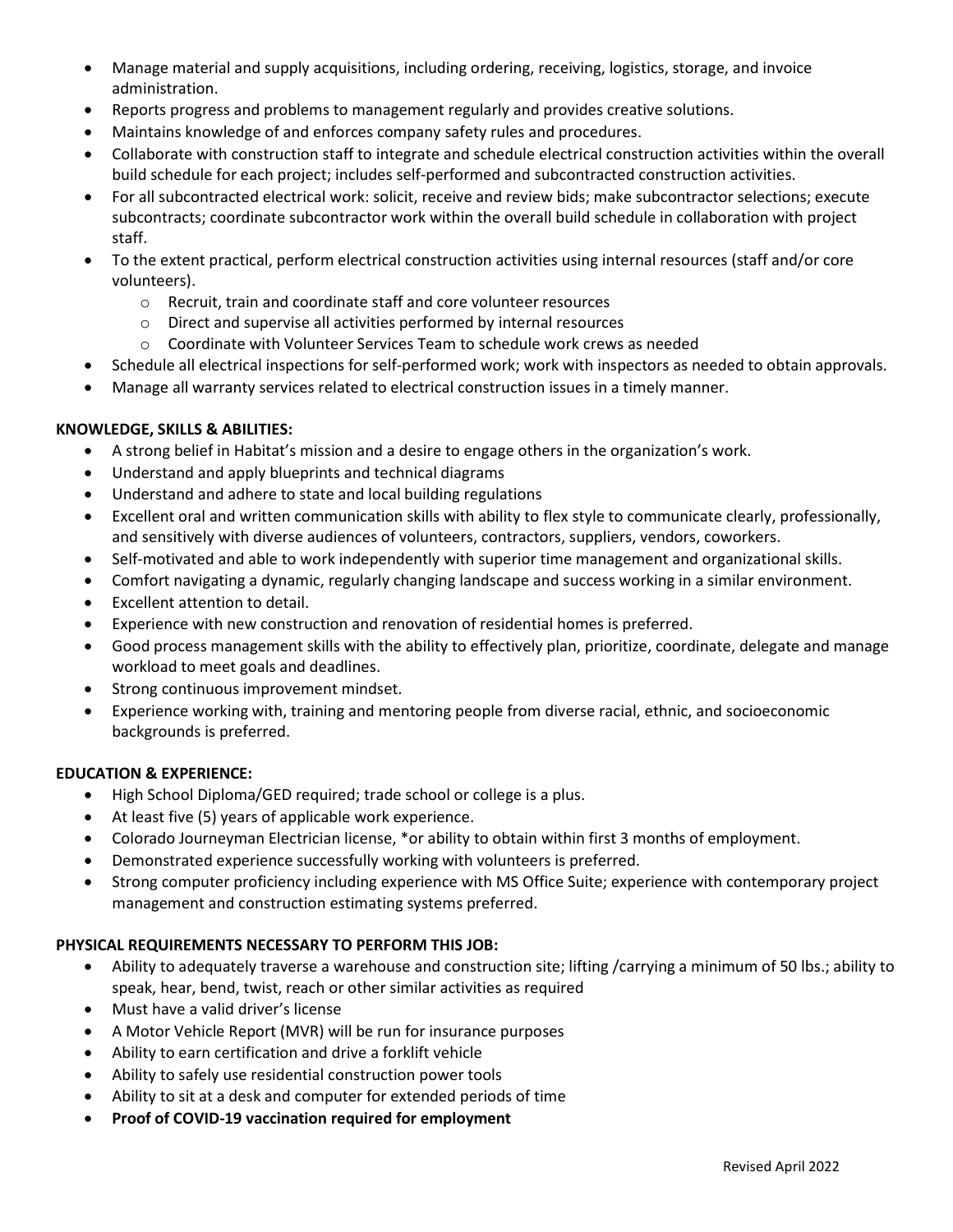- Manage material and supply acquisitions, including ordering, receiving, logistics, storage, and invoice administration.
- Reports progress and problems to management regularly and provides creative solutions.
- Maintains knowledge of and enforces company safety rules and procedures.
- Collaborate with construction staff to integrate and schedule electrical construction activities within the overall build schedule for each project; includes self-performed and subcontracted construction activities.
- For all subcontracted electrical work: solicit, receive and review bids; make subcontractor selections; execute subcontracts; coordinate subcontractor work within the overall build schedule in collaboration with project staff.
- To the extent practical, perform electrical construction activities using internal resources (staff and/or core volunteers).
	- o Recruit, train and coordinate staff and core volunteer resources
	- o Direct and supervise all activities performed by internal resources
	- $\circ$  Coordinate with Volunteer Services Team to schedule work crews as needed
- Schedule all electrical inspections for self-performed work; work with inspectors as needed to obtain approvals.
- Manage all warranty services related to electrical construction issues in a timely manner.

## KNOWLEDGE, SKILLS & ABILITIES:

- A strong belief in Habitat's mission and a desire to engage others in the organization's work.
- Understand and apply blueprints and technical diagrams
- Understand and adhere to state and local building regulations
- Excellent oral and written communication skills with ability to flex style to communicate clearly, professionally, and sensitively with diverse audiences of volunteers, contractors, suppliers, vendors, coworkers.
- Self-motivated and able to work independently with superior time management and organizational skills.
- Comfort navigating a dynamic, regularly changing landscape and success working in a similar environment.
- Excellent attention to detail.
- Experience with new construction and renovation of residential homes is preferred.
- Good process management skills with the ability to effectively plan, prioritize, coordinate, delegate and manage workload to meet goals and deadlines.
- Strong continuous improvement mindset.
- Experience working with, training and mentoring people from diverse racial, ethnic, and socioeconomic backgrounds is preferred.

## EDUCATION & EXPERIENCE:

- High School Diploma/GED required; trade school or college is a plus.
- At least five (5) years of applicable work experience.
- Colorado Journeyman Electrician license, \*or ability to obtain within first 3 months of employment.
- Demonstrated experience successfully working with volunteers is preferred.
- Strong computer proficiency including experience with MS Office Suite; experience with contemporary project management and construction estimating systems preferred.

## PHYSICAL REQUIREMENTS NECESSARY TO PERFORM THIS JOB:

- Ability to adequately traverse a warehouse and construction site; lifting /carrying a minimum of 50 lbs.; ability to speak, hear, bend, twist, reach or other similar activities as required
- Must have a valid driver's license
- A Motor Vehicle Report (MVR) will be run for insurance purposes
- Ability to earn certification and drive a forklift vehicle
- Ability to safely use residential construction power tools
- Ability to sit at a desk and computer for extended periods of time
- Proof of COVID-19 vaccination required for employment